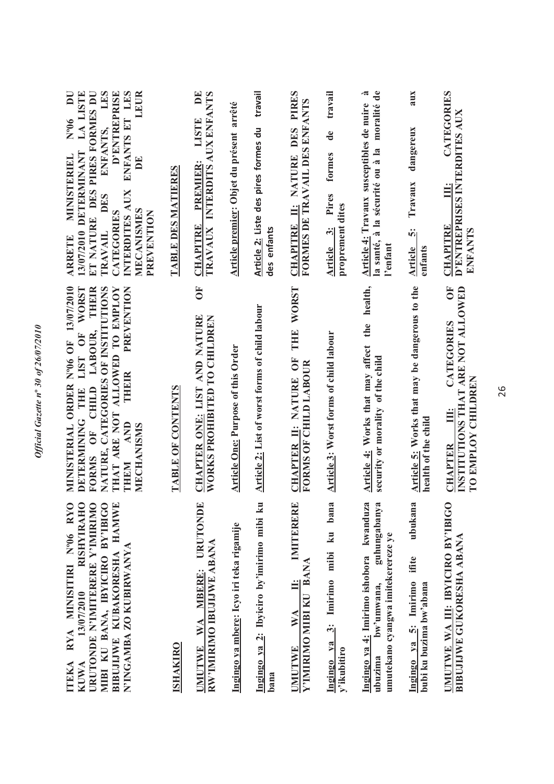| LES<br>ET NATURE DES PIRES FORMES DU<br>ENFANTS ET LES<br>LEUR<br>LA LISTE<br>D'ENTREPRISE<br>$\overline{\mathbf{D}}$<br>$N^{o}06$<br>ENFANTS,<br>13/07/2010 DETERMINANT<br>MINISTERIEL<br>$\mathbf{D}^{\mathbf{E}}$<br>INTERDITES AUX<br><b>DES</b><br>MECANISMES<br>CATEGORIES<br>PREVENTION<br><b>TRAVAIL</b><br><b>ARRETE</b> | <b>TABLE DES MATIERES</b> | $\mathbf{D}$ E<br>INTERDITS AUX ENFANTS<br><b>TISTE</b><br><b>PREMIER:</b><br><b>CHAPITRE</b><br><b>TRAVAUX</b> | Article premier: Objet du présent arrêté  | travail<br>Article 2: Liste des pires formes du<br>des enfants | CHAPITRE II: NATURE DES PIRES<br>FORMES DE TRAVAIL DES ENFANTS        | travail<br>de<br>formes<br>Pires<br>proprement dites<br>Article 3: | moralité de<br>.ಷ<br>Article 4: Travaux susceptibles de nuire<br>la santé, à la sécurité ou à la<br>l'enfant           | aux<br>dangereux<br>Travaux<br>ທີ່<br>Article<br>enfants             | CATEGORIES<br>D'ENTREPRISES INTERDITES AUX<br>Ë<br><b>CHAPITRE</b><br>ENFANTS                     |
|-----------------------------------------------------------------------------------------------------------------------------------------------------------------------------------------------------------------------------------------------------------------------------------------------------------------------------------|---------------------------|-----------------------------------------------------------------------------------------------------------------|-------------------------------------------|----------------------------------------------------------------|-----------------------------------------------------------------------|--------------------------------------------------------------------|------------------------------------------------------------------------------------------------------------------------|----------------------------------------------------------------------|---------------------------------------------------------------------------------------------------|
| MINISTERIAL ORDER Nº06 OF 13/07/2010<br>WORST<br>NATURE, CATEGORIES OF INSTITUTIONS<br>THAT ARE NOT ALLOWED TO EMPLOY<br>PREVENTION<br>THEIR<br>LABOUR,<br>LIST OF<br>THEIR<br>FORMS OF CHILD<br>DETERMINING THE<br><b>AND</b><br><b>MECHANISMS</b><br>THEM                                                                       | TABLE OF CONTENTS         | $\overline{0}$<br>CHAPTER ONE: LIST AND NATURE<br>WORKS PROHIBITED TO CHILDREN                                  | <b>Article One: Purpose of this Order</b> | Article 2: List of worst forms of child labour                 | <b>WORST</b><br>THE<br>CHAPTER II: NATURE OF<br>FORMS OF CHILD LABOUR | Article 3: Worst forms of child labour                             | health,<br>the<br>Article 4: Works that may affect<br>security or morality of the child                                | Article 5: Works that may be dangerous to the<br>health of the child | Č<br>INSTITUTIONS THAT ARE NOT ALLOWED<br>CATEGORIES<br>TO EMPLOY CHILDREN<br>Ë<br><b>CHAPTER</b> |
| RYA MINISITIRI Nº06 RYC<br>RISHYIRAHC<br>URUTONDE N'IMITERERE Y'IMIRIMO<br>MIBI KU BANA, IBYICIRO BY'IBIG<br>BIBUJIJWE KUBAKORESHA HAMWE<br>N'INGAMBA ZO KUBIRWANYA<br>13/07/2010<br><b>ITEKA</b><br><b>KUWA</b>                                                                                                                  | <b>ISHAKIRO</b>           | URUTONDE<br>RW'IMIRIMO IBUJIJWE ABANA<br>WA MBERE:<br><b>UMUTWE</b>                                             | Ingingo ya mbere: Icyo iri teka rigamije  | Ingingo ya 2: Ibyiciro by'imirimo mibi ku<br>bana              | IMITERERE<br>Y'IMIRIMO MIBI KU BANA<br>Ë<br>WA<br><b>UMUTWE</b>       | ku bana<br>$3:$ Imirimo mibi<br>Ingingo ya<br>y'ikubitiro          | guhungabanya<br>Ingingo ya 4: Imirimo ishobora kwanduza<br>umutekano cyangwa imitekerereze ye<br>bw'umwana,<br>ubuzima | ubukana<br>Ingingo ya 5: Imirimo ifite<br>bubi ku buzima bw'abana    | UMUTWE WA III: IBYICIRO BY'IBIGC<br><b>BIBUJIJWE GUKORESHA ABANA</b>                              |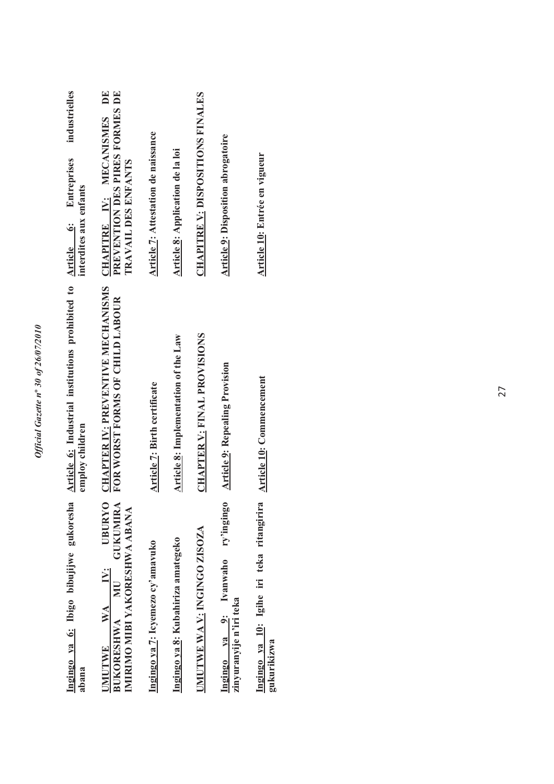| S<br>۵.                 |
|-------------------------|
|                         |
|                         |
| 701                     |
| t                       |
|                         |
| 26/0                    |
|                         |
|                         |
| ¢<br>ð<br>۰,            |
|                         |
|                         |
| $\mathfrak{z}_{\theta}$ |
|                         |
| $\mathbf{u}^{\circ}$    |
|                         |
|                         |
| $\frac{1}{2}$           |
|                         |
| I                       |
|                         |
|                         |
|                         |
|                         |
|                         |
| E.<br>ξ                 |
|                         |
|                         |

| Ingingo ya 6: Ibigo bibujijwe gukoresha<br>abana                                                           | Article 6: Industrial institutions prohibited to Article 6: Entreprises<br>employ children | industrielles<br>interdites aux enfants                                                            |
|------------------------------------------------------------------------------------------------------------|--------------------------------------------------------------------------------------------|----------------------------------------------------------------------------------------------------|
| <b>UBURYO</b><br><b>GUKUMIRA</b><br>IMIRIMO MIBI YAKORESHWA ABANA<br>UMUTWE WA IV:<br><b>BUKORESHWA MU</b> | <b>CHAPTER IV: PREVENTIVE MECHANISMS</b><br>FOR WORST FORMS OF CHILD LABOUR                | $\mathbf{D}$ E<br>PREVENTION DES PIRES FORMES DE<br>CHAPITRE IV: MECANISMES<br>TRAVAIL DES ENFANTS |
| Ingingo ya 7: Icyemezo cy'amavuko                                                                          | Article 7: Birth certificate                                                               | Article 7: Attestation de naissance                                                                |
| Ingingo ya 8: Kubahiriza amategeko                                                                         | Article 8: Implementation of the Law                                                       | Article 8: Application de la loi                                                                   |
| UMUTWE WA V: INGINGO ZISOZA                                                                                | <b>CHAPTER V: FINAL PROVISIONS</b>                                                         | <b>CHAPITRE V: DISPOSITIONS FINALES</b>                                                            |
| ry'ingingo<br>Ingingo ya 9: Ivanwaho<br>zinyuranyije n'iri teka                                            | <b>Article 9: Repealing Provision</b>                                                      | <b>Article 9: Disposition abrogatoire</b>                                                          |
| Ingingo ya 10: Igihe iri teka ritangirira<br>gukurikizwa                                                   | Article 10: Commencement                                                                   | Article 10: Entrée en vigueur                                                                      |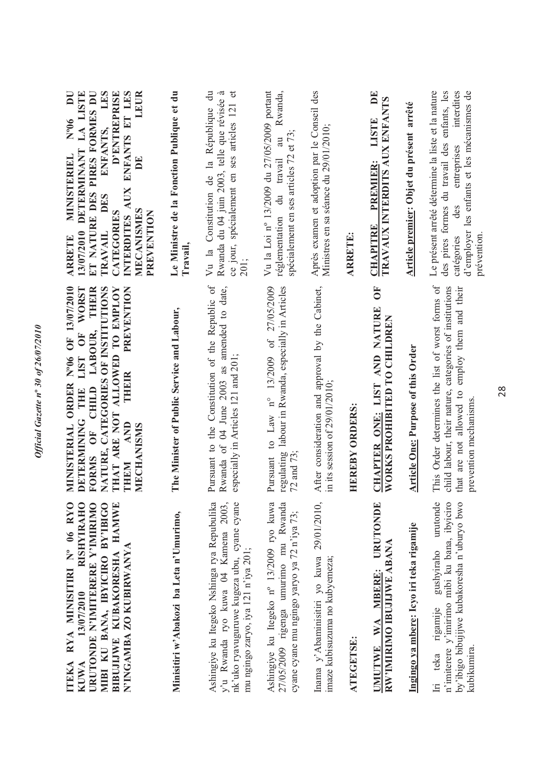| ITEKA RYA MINISITIRI Nº 06 RYO<br>RISHYIRAH<br>URUTONDE N'IMITERERE Y'IMIRIMO<br>MIBI KU BANA, IBYICIRO BY'IBIGO<br>BIBUJIJWE KUBAKORESHA HAMWI<br>N'INGAMBA ZO KUBIRWANYA<br>13/07/2010<br><b>KUWA</b> | MINISTERIAL ORDER Nº06 OF 13/07/2010<br>NATURE, CATEGORIES OF INSTITUTIONS<br><b>WORST</b><br>FORMS OF CHILD LABOUR, THEIR<br>THAT ARE NOT ALLOWED TO EMPLOY<br>PREVENTION<br>DETERMINING THE LIST OF<br>THEIR<br><b>AND</b><br>MECHANISMS<br>THEM | ET NATURE DES PIRES FORMES DU<br>ENFANTS, LES<br>ENFANTS ET LES<br>13/07/2010 DETERMINANT LA LISTE<br><b>D'ENTREPRISE</b><br>LEUR<br>$\overline{\mathbf{D}}$<br>$N^{o}06$<br><b>MINISTERIEL</b><br>BE<br><b>AUX</b><br><b>DES</b><br>MECANISMES<br>CATEGORIES<br>PREVENTION<br>INTERDITES<br><b>TRAVAIL</b><br><b>ARRETE</b> |
|---------------------------------------------------------------------------------------------------------------------------------------------------------------------------------------------------------|----------------------------------------------------------------------------------------------------------------------------------------------------------------------------------------------------------------------------------------------------|------------------------------------------------------------------------------------------------------------------------------------------------------------------------------------------------------------------------------------------------------------------------------------------------------------------------------|
| Minisitiri w'Abakozi ba Leta n'Umurimo,                                                                                                                                                                 | The Minister of Public Service and Labour,                                                                                                                                                                                                         | Le Ministre de la Fonction Publique et du<br>Travail.                                                                                                                                                                                                                                                                        |
| Ashingiye ku Itegeko Nshinga rya Repubulika<br>nk'uko ryavuguruwe kugeza ubu, cyane cyane<br>y'u Rwanda ryo kuwa 04 Kamena 2003<br>mu ngingo zaryo, iya 121 n'iya 201;                                  | Pursuant to the Constitution of the Republic of<br>Rwanda of 04 June 2003 as amended to date,<br>especially in Articles 121 and 201;                                                                                                               | $\ddot{a}$<br>Rwanda du 04 juin 2003, telle que révisée à<br>$\sigma$<br>ce jour, spécialement en ses articles 121<br>Vu la Constitution de la République<br>201;                                                                                                                                                            |
| Ashingiye ku Itegeko nº 13/2009 ryo kuwa<br>27/05/2009 rigenga umurimo mu Rwanda<br>cyane cyane mu ngingo yaryo ya 72 n'iya 73;                                                                         | Pursuant to Law $n^{\circ}$ 13/2009 of 27/05/2009<br>regulating labour in Rwanda, especially in Articles<br>72 and 73;                                                                                                                             | Vu la Loi nº 13/2009 du 27/05/2009 portant<br>Rwanda,<br>spécialement en ses articles 72 et 73;<br>$\overline{a}$<br>travail<br>$\frac{du}{dt}$<br>réglementation                                                                                                                                                            |
| Inama y'Abaminisitiri yo kuwa 29/01/2010,<br>imaze kubisuzuma no kubyemeza;                                                                                                                             | After consideration and approval by the Cabinet,<br>in its session of $29/01/2010$ ;                                                                                                                                                               | Après examen et adoption par le Conseil des<br>Ministres en sa séance du 29/01/2010;                                                                                                                                                                                                                                         |
| ATEGETSE:                                                                                                                                                                                               | <b>HEREBY ORDERS:</b>                                                                                                                                                                                                                              | <b>ARRETE:</b>                                                                                                                                                                                                                                                                                                               |
| URUTONDE<br>RW'IMIRIMO IBUJIJWE ABANA<br>WA MBERE:<br><b>UMUTWE</b>                                                                                                                                     | Ō<br>CHAPTER ONE: LIST AND NATURE<br>WORKS PROHIBITED TO CHILDREN                                                                                                                                                                                  | $\mathbf{D}$ E<br>TRAVAUX INTERDITS AUX ENFANTS<br><b>LISTE</b><br><b>PREMIER:</b><br><b>CHAPITRE</b>                                                                                                                                                                                                                        |
| Ingingo ya mbere: Icyo iri teka rigamije                                                                                                                                                                | <b>Article One: Purpose of this Order</b>                                                                                                                                                                                                          | Article premier: Objet du présent arrêté                                                                                                                                                                                                                                                                                     |
| gushyiraho urutonde<br>n'imiterere y'imirimo mibi ku bana, ibyiciro<br>by'ibigo bibujijwe kubakoresha n'uburyo bwo<br>rigamije<br>kubikumira<br>Iri teka                                                | This Order determines the list of worst forms of<br>child labour, their nature, categories of institutions<br>employ them and their<br>that are not allowed to<br>prevention mechanisms.                                                           | Le présent arrêté détermine la liste et la nature<br>enfants, les<br>d'employer les enfants et les mécanismes de<br>interdites<br>formes du travail des<br>entreprises<br>des<br>prévention<br>des pires<br>catégories                                                                                                       |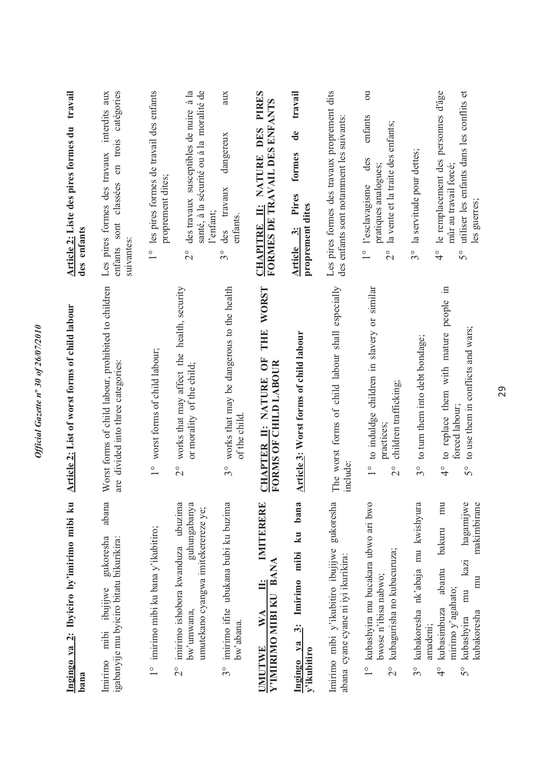| Ingingo ya 2: Ibyiciro by'imirimo mibi ku<br>bana                                                                                                                                            | Article 2: List of worst forms of child labour                                                                                                | travail<br>Article 2: Liste des pires formes du<br>des enfants                                                                                                        |
|----------------------------------------------------------------------------------------------------------------------------------------------------------------------------------------------|-----------------------------------------------------------------------------------------------------------------------------------------------|-----------------------------------------------------------------------------------------------------------------------------------------------------------------------|
| abana<br>gukoresha<br>igabanyije mu byiciro bitatu bikurikira:<br>ibujijwe<br>mibi<br>Imirimo                                                                                                | Worst forms of child labour, prohibited to children<br>are divided into three categories:                                                     | catégories<br>interdits aux<br>trois<br>Les pires formes des travaux<br>$\sin$<br>classées<br>sont<br>suivantes:<br>enfants                                           |
| 1° imirimo mibi ku bana y'ikubitiro;                                                                                                                                                         | 1° worst forms of child labour;                                                                                                               | 1° les pires formes de travail des enfants<br>proprement dites;                                                                                                       |
| imirimo ishobora kwanduza ubuzima<br>guhungabanya<br>umutekano cyangwa imitekerereze ye;<br>bw'umwana,<br>$\frac{1}{2}$                                                                      | works that may affect the health, security<br>or morality of the child;<br>$\frac{1}{2}$                                                      | des travaux susceptibles de nuire à la<br>santé, à la sécurité ou à la moralité de<br>l'enfant;<br>$\frac{1}{2}$                                                      |
| imirimo ifite ubukana bubi ku buzima<br>bw'abana.<br>30                                                                                                                                      | works that may be dangerous to the health<br>of the child.<br>$3^{\circ}$                                                                     | aux<br>dangereux<br>travaux<br>enfants.<br>des<br>$3^{\circ}$                                                                                                         |
| r-1<br>IMITERERH<br>Y'IMIRIMO MIBI KU BANA<br>$\mathbf{W} \mathbf{A}$<br><b>UMUTWE</b>                                                                                                       | <b>WORST</b><br>THE<br>ÖF<br>FORMS OF CHILD LABOUR<br>CHAPTER II: NATURE                                                                      | <b>PIRES</b><br>FORMES DE TRAVAIL DES ENFANTS<br><b>DES</b><br>NATURE<br>$\ddot{=}$<br><b>CHAPITRE</b>                                                                |
| bana<br>$\mathbf{\ddot{a}}$<br>mibi<br>Imirimo<br>$\ddot{\dot{\mathbf{c}}}$<br>ya<br>y'ikubitiro<br>Ingingo                                                                                  | Article 3: Worst forms of child labour                                                                                                        | travail<br>de<br>formes<br>Pires<br>proprement dites<br>$\ddot{3}$<br>Article                                                                                         |
| gukoresha<br>Imirimo mibi y'ikubitiro ibujijwe<br>abana cyane cyane ni iyi ikurikira:                                                                                                        | The worst forms of child labour shall especially<br>include:                                                                                  | Les pires formes des travaux proprement dits<br>des enfants sont notamment les suivants                                                                               |
| kubashyira mu bucakara ubwo ari bwo<br>kubagurisha no kubacuruza;<br>bwose n'ibisa nabwo;<br>$\frac{1}{2}$                                                                                   | to induldge children in slavery or similar<br>children trafficking;<br>practices:<br>$\frac{1}{1}$<br>$\frac{1}{2}$                           | $\overline{\mathrm{c}}$<br>enfants<br>la vente et la traite des enfants;<br>des<br>pratiques analogues;<br>l'esclavagisme<br>$\frac{1}{1}$<br>$\overset{\circ}{\sim}$ |
| kubakoresha nk'abaja mu kwishyura<br>amadeni;<br>$3^{\circ}$                                                                                                                                 | to turn them into debt bondage;<br>30                                                                                                         | la servitude pour dettes;<br>3°                                                                                                                                       |
| hagamijwe<br>makimbirane<br>m<br>bakuru<br>kazi<br>abantu<br>$\overline{m}$<br>mirimo y'agahato;<br>mu<br>kubasimbuza<br>kubakoresha<br>kubashyira<br>$\frac{1}{4}$<br>$\mathcal{S}^{\circ}$ | $\Xi$<br>to replace them with mature people<br>to use them in conflicts and wars;<br>forced labour;<br>$\frac{1}{4}$<br>$\mathcal{S}^{\circ}$ | utiliser les enfants dans les conflits et<br>le remplacement des personnes d'âge<br>mûr au travail forcé;<br>les guerres;<br>$\frac{1}{4}$<br>$\mathcal{S}^{\circ}$   |

*Official Gazette n***º** *30 of 26/07/2010* 

Official Gazette nº 30 of 26/07/2010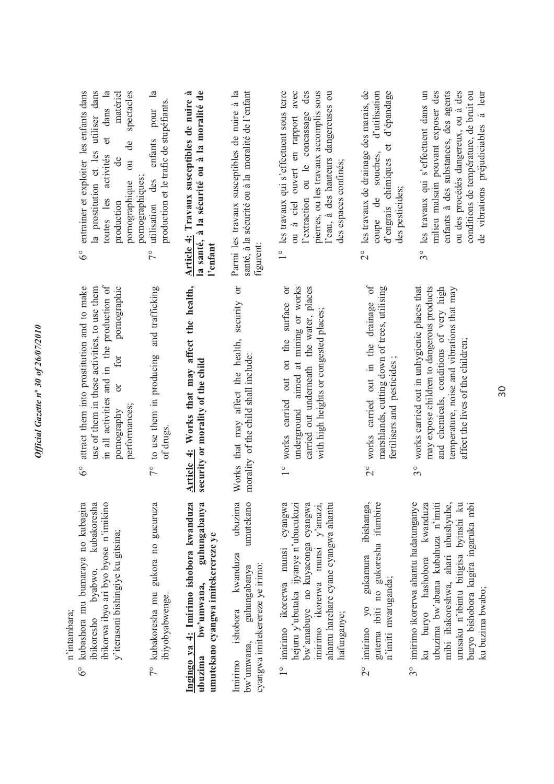| $\ddot{ }$                    |
|-------------------------------|
|                               |
|                               |
| 010%<br>å                     |
| 1126/07                       |
|                               |
|                               |
|                               |
|                               |
|                               |
|                               |
| r                             |
| $\tilde{\phantom{a}}$         |
|                               |
| $\overline{\mathcal{S}}$      |
|                               |
|                               |
|                               |
|                               |
|                               |
| $\boldsymbol{n}^{\mathrm{o}}$ |
|                               |
|                               |
|                               |
|                               |
|                               |
| 7011                          |
|                               |
|                               |
| ٢                             |
|                               |
|                               |
|                               |
|                               |
|                               |
|                               |
|                               |
|                               |
| n as a<br>י<br>הל             |

n'intambara; n'intambara;

- 6° kubashora mu bumaraya no kubagira ibikoresho byabwo, kubakoresha kubashora mu bumaraya no kubagira kubakoresha ibikorwa ibyo ari byo byose n'imikino ibikorwa ibyo ari byo byose n'imikino y'iterasoni bishingiye ku gitsina; y'iterasoni bishingiye ku gitsina; ibikoresho byabwo,  $6^\circ$
- 7° kubakoresha mu gukora no gucuruza 7° kubakoresha mu gukora no gucuruza ibiyobyabwenge. ibiyobyabwenge.

bw'umwana, guhungabanya Ingingo ya 4: Imirimo ishobora kwanduza **Ingingo ya 4: Imirimo ishobora kwanduza ubuzima bw'umwana, guhungabanya**  umutekano cyangwa imitekerereze ye **umutekano cyangwa imitekerereze ye** ubuzima

ubuzima umutekano Imirimo ishobora kwanduza ubuzima bw'umwana, guhungabanya umutekano ishobora kwanduza guhungabanya cyangwa imitekerereze ye irimo: cyangwa imitekerereze ye irimo:  $\alpha$  imwana. Imirimo

- hejuru y'ubutaka ijyanye n'ubucukuzi bw'amabuye no kuyaconga cyangwa 1° imirimo ikorerwa munsi cyangwa 1° imirimo ikorerwa munsi cyangwa ow'amabuye no kuyaconga cyangwa imirimo ikorerwa munsi y'amazi, imirimo ikorerwa munsi y'amazi, ahantu harehare cyane cyangwa ahantu hejuru y'ubutaka ijyanye n'ubucukuzi ahantu harehare cyane cyangwa ahantu hafunganye;
- 2° imirimo yo gukamura ibishanga, gutema ibiti no gukoresha ifumbire imirimo yo gukamura ibishanga, gutema ibiti no gukoresha ifumbire n'imiti mvaruganda; n'imiti mvaruganda;  $\frac{1}{2}$
- 3° imirimo ikorerwa ahantu hadatunganye ku buryo hashobora kwanduza ubuzima bw'abana kubahuza n'imiti mibi ihakoreshwa, ahari ubushyuhe, ubuzima bw'abana kubahuza n'imiti urusaku n'ibintu bitigisa byinshi ku urusaku n'ibintu bitigisa byinshi ku buryo bishobora kugira ingaruka mbi imirimo ikorerwa ahantu hadatunganye ku buryo hashobora kwanduza mibi ihakoreshwa, ahari ubushyuhe, buryo bishobora kugira ingaruka mbi ku buzima bwabo; ku buzima bwabo;  $3^{\circ}$
- 6° attract them into prostitution and to make use of them in these activities, to use them use of them in these activities, to use them in all activities and in the production of in all activities and in the production of pornography or for pornographic attract them into prostitution and to make pornographic for  $\sigma$ performances; performances; pornography  $6^\circ$
- 7° to use them in producing and trafficking 7° to use them in producing and trafficking of drugs.

Article 4: Works that may affect the health, **Article 4: Works that may affect the health,**  security or morality of the child **security or morality of the child** Works that may affect the health, security or Works that may affect the health, security or morality of the child shall include: morality of the child shall include:

- 1° works carried out on the surface or 1° works carried out on the surface or underground aimed at mining or works underground aimed at mining or works carried out underneath the water, places carried out underneath the water, places with high heights or congested places; with high heights or congested places;
- 2° works carried out in the drainage of 2° works carried out in the drainage of marshlands, cutting down of trees, utilising marshlands, cutting down of trees, utilising fertilisers and pesticides; fertilisers and pesticides ;
- 3° works carried out in unhygienic places that may expose children to dangerous products and chemicals, conditions of very high temperature, noise and vibrations that may works carried out in unhygienic places that may expose children to dangerous products and chemicals, conditions of very high temperature, noise and vibrations that may affect the lives of the children; affect the lives of the children;  $3^{\circ}$
- 6° entrainer et exploiter les enfants dans la prostitution et les utiliser dans<br>toutes les activités et dans la la prostitution et les utiliser dans toutes les activités et dans la matériel production de matériel pornographique ou de spectacles entrainer et exploiter les enfants dans spectacles de de  $\overline{\text{ou}}$ pornographiques; pornographiques; pornographique production  $6^\circ$ 
	- 7° utilisation des enfants pour la  $\mathbb{R}$ production et le trafic de stupéfiants. production et le trafic de stupéfiants. utilisation des enfants pour  $7^{\circ}$

**Article 4: Travaux susceptibles de nuire à la santé, à la sécurité ou à la moralité de**  Article 4: Travaux susceptibles de nuire à la santé, à la sécurité ou à la moralité de **l'enfant**

Parmi les travaux susceptibles de nuire à la santé, à la sécurité ou à la moralité de l'enfant Parmi les travaux susceptibles de nuire à la santé, à la sécurité ou à la moralité de l'enfant figurent:

- 1° les travaux qui s'effectuent sous terre ou à ciel ouvert en rapport avec ou à ciel ouvert en rapport avec l'extraction ou le concassage des pierres, ou les travaux accomplis sous pierres, ou les travaux accomplis sous l'eau, à des hauteurs dangereuses ou 1° les travaux qui s'effectuent sous terre l'extraction ou le concassage des l'eau, à des hauteurs dangereuses ou des espaces confinés; des espaces confinés;
- 2° les travaux de drainage des marais, de coupe de souches, d'utilisation d'engrais chimiques et d'épandage les travaux de drainage des marais, de d'utilisation d'engrais chimiques et d'épandage souches. des pesticides; des pesticides; de coupe  $\frac{1}{2}$
- 3° les travaux qui s'effectuent dans un milieu malsain pouvant exposer des enfants à des substances, des agents ou des procédés dangereux, ou à des ou des procédés dangereux, ou à des conditions de température, de bruit ou conditions de température, de bruit ou de vibrations préjudiciables à leur les travaux qui s'effectuent dans un milieu malsain pouvant exposer des enfants à des substances, des agents de vibrations préjudiciables à leur  $3^{\circ}$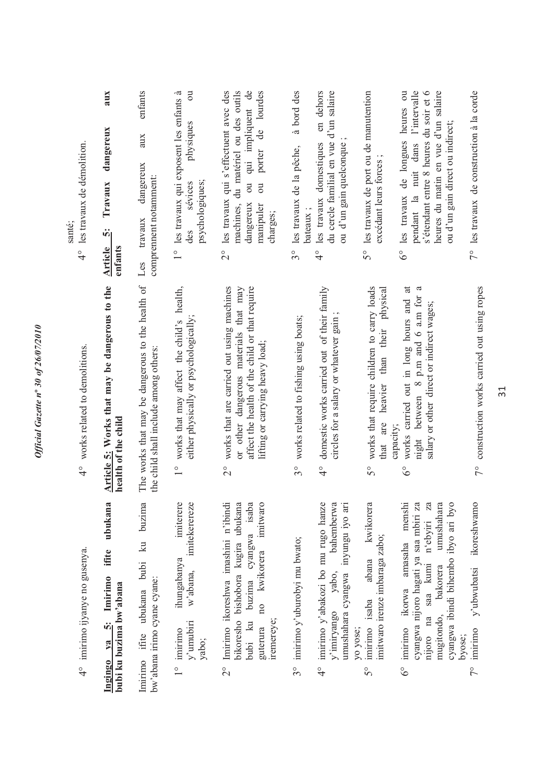| les travaux de démolition.<br>santé;<br>$\frac{1}{4}$ | aux<br>dangereux<br>Travaux<br>ທີ່<br>enfants<br><b>Article</b>           | enfants<br>aux<br>dangereux<br>comprennent notamment:<br>travaux<br>Les                   | 1° les travaux qui exposent les enfants à<br>$\overline{\mathrm{c}}$<br>physiques<br>psychologiques;<br>sévices<br>des | ou qui impliquent de<br>2° les travaux qui s'effectuent avec des<br>machines, du matériel ou des outils<br>porter de lourdes<br>$\overline{\mathrm{u}}$<br>dangereux<br>manipuler<br>charges; | à bord des<br>les travaux de la pêche,<br>bateaux;<br>$3^{\circ}$ | du cercle familial en vue d'un salaire<br>en dehors<br>ou d'un gain quelconque<br>les travaux domestiques<br>$\frac{1}{4}$                  | 5° les travaux de port ou de manutention<br>excédant leurs forces;                                          | pendant la nuit dans l'intervalle<br>s'étendant entre 8 heures du soir et 6<br>heures du matin en vue d'un salaire<br>6° les travaux de longues heures ou<br>ou d'un gain direct ou indirect;                                      | 7° les travaux de construction à la corde                      |
|-------------------------------------------------------|---------------------------------------------------------------------------|-------------------------------------------------------------------------------------------|------------------------------------------------------------------------------------------------------------------------|-----------------------------------------------------------------------------------------------------------------------------------------------------------------------------------------------|-------------------------------------------------------------------|---------------------------------------------------------------------------------------------------------------------------------------------|-------------------------------------------------------------------------------------------------------------|------------------------------------------------------------------------------------------------------------------------------------------------------------------------------------------------------------------------------------|----------------------------------------------------------------|
| works related to demolitions.<br>$\frac{6}{4}$        | Article 5: Works that may be dangerous to the<br>health of the child      | The works that may be dangerous to the health of<br>the child shall include among others: | works that may affect the child's health,<br>either physically or psychologically;<br>$\frac{1}{2}$                    | works that are carried out using machines<br>or other dangerous materials that may<br>affect the health of the child or that require<br>lifting or carrying heavy load;<br>$\frac{1}{2}$      | works related to fishing using boats;<br>$3^\circ$                | domestic works carried out of their family<br>circles for a salary or whatever gain;<br>$\frac{1}{4}$                                       | works that require children to carry loads<br>heavier than their physical<br>are<br>capacity;<br>that<br>S° | night between 8 p.m and 6 a.m for a<br>works carried out in long hours and at<br>salary or other direct or indirect wages;<br>$\delta^{\circ}$                                                                                     | 7° construction works carried out using ropes                  |
| 4° imirimo ijyanye no gusenya.                        | ubukana<br>ifite<br>$ya$ 5: Imirimo<br>bubi ku buzima bw'abana<br>Ingingo | Imirimo ifite ubukana bubi ku buzima<br>bw'abana irimo cyane cyane:                       | imiterere<br>imitekerereze<br>ihungabanya<br>w'abana,<br>$y'$ umubiri<br>imirimo<br>yabo;<br>$\frac{1}{2}$             | Imirimo ikoreshwa imashini n'ibindi<br>bubi ku buzima cyangwa isaba<br>bikoresho bishobora kugira ubukana<br>imitwaro<br>no kwikorera<br>iremereye;<br>guterura<br>$\frac{1}{2}$              | 3° imirimo y'uburobyi mu bwato;                                   | umushahara cyangwa inyungu iyo ari<br>imirimo y'abakozi bo mu rugo hanze<br>bahemberwa<br>yabo,<br>y'imiryango<br>yo yose;<br>$\frac{6}{4}$ | kwikorera<br>imitwaro irenze imbaraga zabo;<br>abana<br>imirimo isaba<br>$5^{\circ}$                        | menshi<br>cyangwa nijoro hagati ya saa mbiri za<br>Z <sub>3</sub><br>umushahara<br>cyangwa ibindi bihembo ibyo ari byo<br>saa kumi n'ebyiri<br>amasaha<br>bakorera<br>ikorwa<br>na<br>mugitondo,<br>imirimo<br>nijoro<br>$6^\circ$ | ikoreshwamo<br>y'ubwubatsi<br>imirimo<br>byose;<br>$7^{\circ}$ |

*Official Gazette n***º** *30 of 26/07/2010* 

Official Gazette nº 30 of 26/07/2010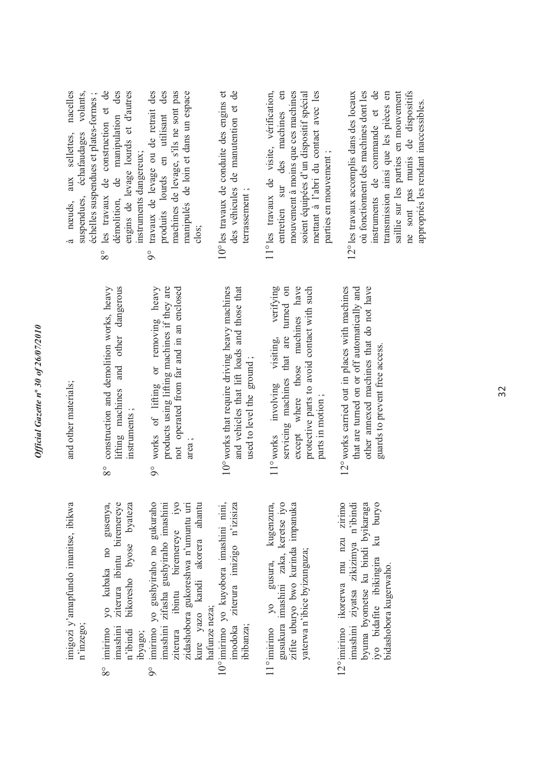*Official Gazette n***º** *30 of 26/07/2010*  Official Gazette nº 30 of 26/07/2010

> imigozi y'amapfundo imanitse, ibikwa imigozi y'amapfundo imanitse, ibikwa n'inzego;

- yo kubaka no gusenya, 8° imirimo yo kubaka no gusenya, imashini ziterura ibintu biremereye n'ibindi bikoresho byose byateza ziterura ibintu biremereye bikoresho byose byateza imashini imirimo n'ibindi ibyago;  $8^{\circ}$ 
	- imirimo yo gushyiraho no gukuraho<br>imashini zifasha gushyiraho imashini imashini zifasha gushyiraho imashini kure yazo kandi akorera ahantu 9° imirimo yo gushyiraho no gukuraho ziterura ibintu biremereye iyo zidashobora gukoreshwa n'umuntu uri zidashobora gukoreshwa n'umuntu uri kure yazo kandi akorera ahantu biremereye ibintu hafunze neza; hafunze neza; ziterura  $\circ$ 
		- 10° imirimo yo kuyobora imashini nini, imodoka ziterura imizigo n'izisiza 10° imirimo yo kuyobora imashini nini, imodoka ziterura imizigo n'izisiza ibibanza;
- gusukura imashini zaka, keretse iyo 11° imirimo yo gusura, kugenzura, gusukura imashini zaka, keretse iyo zifite uburyo bwo kurinda impanuka gusura, kugenzura, zifite uburyo bwo kurinda impanuka yaterwa n'ibice byizunguza; yaterwa n'ibice byizunguza; 11° imirimo yo
- 12° imirimo ikorerwa mu nzu zirimo 12° imirimo ikorerwa mu nzu zirimo imashini ziyatsa zikizimya n'ibindi byuma byometse ku bindi byikaraga iyo bidafite ibikingira ku buryo imashini ziyatsa zikizimya n'ibindi byuma byometse ku bindi byikaraga iyo bidafite ibikingira ku buryo bidashobora kugerwaho. bidashobora kugerwaho.

and other materials; and other materials;

- 8° construction and demolition works, heavy lifting machines and other dangerous 8° construction and demolition works, heavy lifting machines and other dangerous instruments; instruments ;
- 9° works of lifting or removing heavy products using lifting machines if they are not operated from far and in an enclosed products using lifting machines if they are not operated from far and in an enclosed 9° works of lifting or removing heavy area ;
- $10^{\circ}$  works that require driving heavy machines 10°works that require driving heavy machines and vehicles that lift loads and those that and vehicles that lift loads and those that used to level the ground; used to level the ground ;
- 11°works involving visiting, verifying servicing machines that are turned on except where those machines have protective parts to avoid contact with such protective parts to avoid contact with such 11° works involving visiting, verifying servicing machines that are turned on except where those machines have parts in motion; parts in motion ;
- 12°works carried out in places with machines that are turned on or off automatically and other annexed machines that do not have 2° works carried out in places with machines that are turned on or off automatically and other annexed machines that do not have guards to prevent free access. guards to prevent free access.

à nœuds, aux sellettes, nacelles suspendues, échafaudages volants, 8° les travaux de construction et de démolition, de manipulation des à nœuds, aux sellettes, nacelles les travaux de construction et de<br>démolition, de manipulation des échelles suspendues et plates-formes ; volants. échelles suspendues et plates-formes ; suspendues, échafaudages  $8^{\circ}$ 

engins de levage lourds et d'autres 9° travaux de levage ou de retrait des produits lourds en utilisant des machines de levage, s'ils ne sont pas manipulés de loin et dans un espace engins de levage lourds et d'autres travaux de levage ou de retrait des produits lourds en utilisant des machines de levage, s'ils ne sont pas manipulés de loin et dans un espace instruments dangereux; instruments dangereux;  $\circ$ 

clos;

- 10°les travaux de conduite des engins et des véhicules de manutention et de 10° les travaux de conduite des engins et des véhicules de manutention et de terrassement; terrassement ;
- 11° les travaux de visite, vérification, entretien sur des machines en mouvement à moins que ces machines soient équipées d'un dispositif spécial mettant à l'abri du contact avec les 11° les travaux de visite, vérification,  $\mathfrak{g}$ mouvement à moins que ces machines soient équipées d'un dispositif spécial mettant à l'abri du contact avec les des machines parties en mouvement; parties en mouvement ; entretien sur
- 12° les travaux accomplis dans des locaux où fonctionnent des machines dont les instruments de commande et de transmission ainsi que les pièces en saillie sur les parties en mouvement saillie sur les parties en mouvement ne sont pas munis de dispositifs 12° les travaux accomplis dans des locaux où fonctionnent des machines dont les instruments de commande et de transmission ainsi que les pièces en ne sont pas munis de dispositifs appropriés les rendant inaccessibles. appropriés les rendant inaccessibles.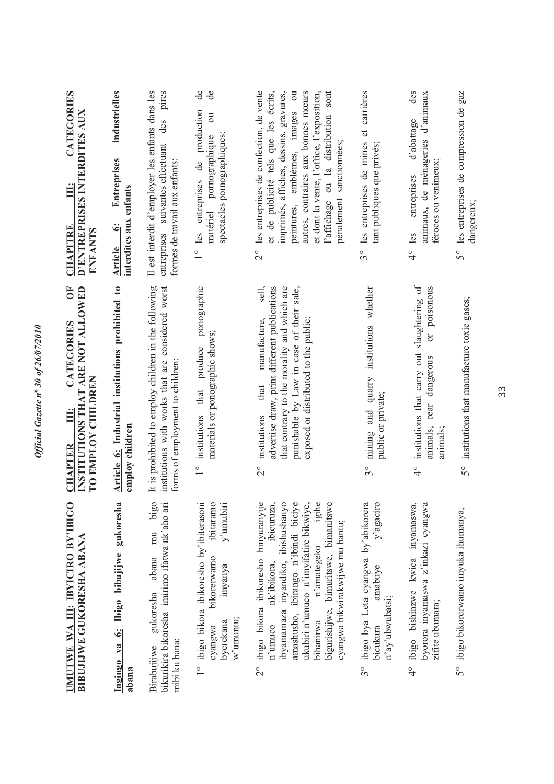| CATEGORIES<br>D'ENTREPRISES INTERDITES AUX<br>Ë<br><b>CHAPITRE</b><br><b>ENFANTS</b><br><b>FO</b> | industrielles<br><b>Entreprises</b><br>interdites aux enfants<br>$\ddot{\bullet}$<br><b>Article</b> | pires<br>Il est interdit d'employer les enfants dans les<br>des<br>entreprises suivantes effectuant<br>formes de travail aux enfants:         | ಕೆ<br>de<br>production<br>$\overline{5}$<br>spectacles pornographiques;<br>matériel pornographique<br>les entreprises de<br>$\frac{1}{1}$                 | les entreprises de confection, de vente<br>et de publicité tels que les écrits,<br>$\overline{\text{ou}}$<br>autres, contraires aux bonnes mœurs<br>imprimés, affiches, dessins, gravures,<br>et dont la vente, l'office, l'exposition,<br>l'affichage ou la distribution sont<br>peintures, emblèmes, images<br>pénalement sanctionnées;<br>$\frac{1}{2}$<br>sell, | 3° les entreprises de mines et carrières<br>tant publiques que privés;                                                        | des<br>animaux, de ménageries d'animaux<br>d'abattage<br>féroces ou venimeux;<br>entreprises<br>les<br>$\frac{1}{4}$                | 5° les entreprises de compression de gaz<br>dangereux; |
|---------------------------------------------------------------------------------------------------|-----------------------------------------------------------------------------------------------------|-----------------------------------------------------------------------------------------------------------------------------------------------|-----------------------------------------------------------------------------------------------------------------------------------------------------------|---------------------------------------------------------------------------------------------------------------------------------------------------------------------------------------------------------------------------------------------------------------------------------------------------------------------------------------------------------------------|-------------------------------------------------------------------------------------------------------------------------------|-------------------------------------------------------------------------------------------------------------------------------------|--------------------------------------------------------|
| INSTITUTIONS THAT ARE NOT ALLOWED<br>CATEGORIES<br>TO EMPLOY CHILDREN<br>Ë<br><b>CHAPTER</b>      | Article 6: Industrial institutions prohibited to<br>employ children                                 | It is prohibited to employ children in the following<br>institutions with works that are considered worst<br>forms of employment to children: | ponographic<br>materials or ponographic shows;<br>that produce<br>institutions<br>$\frac{1}{2}$                                                           | that contrary to the morality and which are<br>advertise draw, print different publications<br>punishable by Law in case of their sale,<br>exposed or distributed to the public;<br>manufacture,<br>that<br>institutions<br>$\frac{1}{2}$                                                                                                                           | mining and quarry institutions whether<br>public or private;<br>$3^{\circ}$                                                   | institutions that carry out slaughtering of<br>poisonous<br><b>Dr</b><br>dangerous<br>rear<br>animals,<br>animals;<br>$\frac{1}{4}$ | 5° institutions that manufacture toxic gases;          |
| UMUTWE WA III: IBYICIRO BY'IBIGO<br><b>BIBUJIJWE GUKORESHA ABANA</b>                              | Ingingo ya 6: Ibigo bibujijwe gukoresha<br>abana                                                    | bigo<br>bikurikira bikoresha imirimo ifatwa nk'aho ari<br>mu<br>abana<br>gukoresha<br>mibi ku bana:<br>Birabujijwe                            | ibitaramo<br>ibigo bikora ibikoresho by'ibiterasoni<br>y'umubiri<br>bikorerwamo<br>imyanya<br>w'umuntu;<br>byerekana<br>cyangwa<br>$\overline{1}^{\circ}$ | ukubiri n'umuco n'imyifatire bikwiye,<br>ibigo bikora ibikoresho binyuranyije<br>ibicuruza,<br>ibyamamaza inyandiko, ibishushanyo<br>amashusho, ibirango n'ibindi biciye<br>igihe<br>bigurishijwe, bimuritswe, bimanitswe<br>cyangwa bikwirakwijwe mu bantu;<br>n'amategeko<br>nk'ibikora,<br>bihanirwa<br>n'umuco<br>$\frac{1}{2}$                                 | ibigo bya Leta cyangwa by'abikorera<br>y'agaciro<br>amabuye<br>n'ay'ubwubatsi;<br>bicukura<br>$\overset{\circ}{\mathfrak{Z}}$ | ibigo bishinzwe kwica inyamaswa,<br>byorora inyamaswa z'inkazi cyangwa<br>zifite ubumara;<br>$\frac{1}{4}$                          | ibigo bikorerwamo imyuka ihumanya;<br>50               |

*Official Gazette n***º** *30 of 26/07/2010* 

Official Gazette nº 30 of 26/07/2010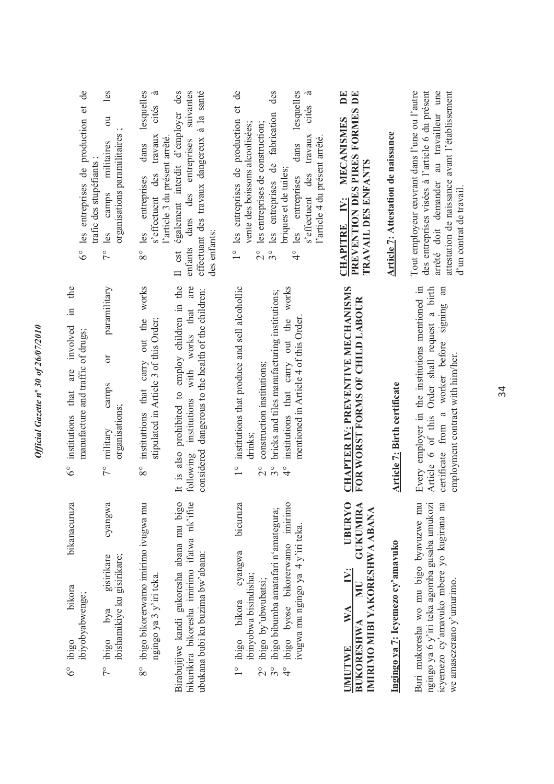| $\mathsf{de}$<br>les<br>6° les entreprises de production et<br>$\overline{a}$<br>organisations paramilitaires<br>militaires<br>trafic des stupéfiants;<br>camps<br>$7^\circ$ les<br>paramilitary | lesquelles<br>.ದ<br>cités<br>travaux<br>l'article 3 du présent arrêté.<br>dans<br>s'effectuent des<br>les entreprises<br>$8^{\circ}$ | effectuant des travaux dangereux à la santé<br>également interdit d'employer des<br>suivantes<br>dans des entreprises<br>des enfants:<br>enfants<br>Il est | 1° les entreprises de production et de<br>lesquelles<br>.ದ<br>des<br>cités<br>les entreprises de fabrication<br>les entreprises de construction;<br>vente des boissons alcoolisées;<br>travaux<br>l'article 4 du présent arrêté.<br>dans<br>briques et de tuiles;<br>s'effectuent des<br>les entreprises<br>$\frac{1}{2}$<br>$3^{\circ}$<br>$\frac{1}{4}$ | $\mathbf{D}$ E<br>PREVENTION DES PIRES FORMES DE<br>IV: MECANISMES<br>TRAVAIL DES ENFANTS<br><b>CHAPITRE</b>                                                | Article 7: Attestation de naissance | Tout employeur œuvrant dans l'une ou l'autre<br>des entreprises visées à l'article 6 du présent<br>arrêté doit demander au travailleur une<br>attestation de naissance avant l'établissement<br>d'un contrat de travail.<br>an |
|--------------------------------------------------------------------------------------------------------------------------------------------------------------------------------------------------|--------------------------------------------------------------------------------------------------------------------------------------|------------------------------------------------------------------------------------------------------------------------------------------------------------|-----------------------------------------------------------------------------------------------------------------------------------------------------------------------------------------------------------------------------------------------------------------------------------------------------------------------------------------------------------|-------------------------------------------------------------------------------------------------------------------------------------------------------------|-------------------------------------|--------------------------------------------------------------------------------------------------------------------------------------------------------------------------------------------------------------------------------|
| manufacture and traffic of drugs;<br>ör<br>camps<br>organisations;<br>military<br>$7^{\circ}$                                                                                                    | instituttions that carry out the works<br>stipulated in Article 3 of this Order;<br>$8^{\circ}$                                      | It is also prohibited to employ children in the<br>institutions with works that are<br>considered dangerous to the health of the children:<br>following    | institutions that produce and sell alcohollic<br>institutions that carry out the works<br>bricks and tiles manufacturing institutions;<br>mentioned in Article 4 of this Order<br>construction institutions;<br>drinks;<br>$\frac{1}{1}$<br>$3^{\circ}$<br>$\frac{6}{4}$<br>$\frac{1}{2}$                                                                 | <b>CHAPTER IV: PREVENTIVE MECHANISMS</b><br>FOR WORST FORMS OF CHILD LABOUR                                                                                 | <b>Article 7: Birth certificate</b> | Every employer in the institutions mentioned in<br>Article 6 of this Order shall request a birth<br>certificate from a worker before signing<br>employment contract with him/her.                                              |
| cyangwa<br>ibigo bya gisirikare<br>ibishamikiye ku gisirikare;<br>ibiyobyabwenge;<br>$7^\circ$ ibigo<br>$6^\circ$ ibigo                                                                          | ibigo bikorerwamo imirimo ivugwa mu<br>ngingo ya 3 y'iri teka.<br>$\infty$                                                           | Birabujijwe kandi gukoresha abana mu bigo<br>bikurikira bikoresha imirimo ifatwa nk'ifite<br>ubukana bubi ku buzima bw'abana:                              | ibigo byose bikorerwamo imirimo<br>bicuruza<br>ibigo bibumba amatafari n'amategura;<br>ivugwa mu ngingo ya 4 y'iri teka.<br>cyangwa<br>ibinyobwa bisindisha;<br>ibigo by'ubwubatsi;<br>ibigo bikora<br>$3^{\circ}$<br>$\frac{1}{4}$<br>$\overset{\circ}{\sim}$                                                                                            | <b>UBURYO</b><br><b>GUKUMIRA</b><br>IMIRIMO MIBI YAKORESHWA ABANA<br>$\ddot{\Sigma}$<br>$\overline{\text{min}}$<br>WA<br><b>BUKORESHWA</b><br><b>UMUTWE</b> | Ingingo ya 7: Icyemezo cy'amavuko   | Buri mukoresha wo mu bigo byavuzwe mu<br>ngingo ya 6 y'iri teka agomba gusaba umukozi<br>icyemezo cy'amavuko mbere yo kugirana na<br>we amasezerano y'umurimo.                                                                 |